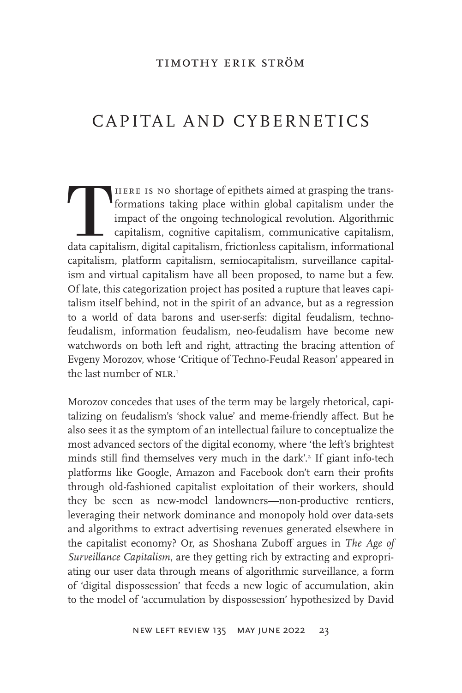# CAPITAL AND CYBERNETICS

THERE IS NO shortage of epithets aimed at grasping the trans-<br>formations taking place within global capitalism under the<br>impact of the ongoing technological revolution. Algorithmic<br>capitalism, cognitive capitalism, communi formations taking place within global capitalism under the impact of the ongoing technological revolution. Algorithmic capitalism, cognitive capitalism, communicative capitalism, capitalism, platform capitalism, semiocapitalism, surveillance capitalism and virtual capitalism have all been proposed, to name but a few. Of late, this categorization project has posited a rupture that leaves capitalism itself behind, not in the spirit of an advance, but as a regression to a world of data barons and user-serfs: digital feudalism, technofeudalism, information feudalism, neo-feudalism have become new watchwords on both left and right, attracting the bracing attention of Evgeny Morozov, whose 'Critique of Techno-Feudal Reason' appeared in the last number of NLR.<sup>1</sup>

Morozov concedes that uses of the term may be largely rhetorical, capitalizing on feudalism's 'shock value' and meme-friendly affect. But he also sees it as the symptom of an intellectual failure to conceptualize the most advanced sectors of the digital economy, where 'the left's brightest minds still find themselves very much in the dark'.<sup>2</sup> If giant info-tech platforms like Google, Amazon and Facebook don't earn their profits through old-fashioned capitalist exploitation of their workers, should they be seen as new-model landowners—non-productive rentiers, leveraging their network dominance and monopoly hold over data-sets and algorithms to extract advertising revenues generated elsewhere in the capitalist economy? Or, as Shoshana Zuboff argues in *The Age of Surveillance Capitalism*, are they getting rich by extracting and expropriating our user data through means of algorithmic surveillance, a form of 'digital dispossession' that feeds a new logic of accumulation, akin to the model of 'accumulation by dispossession' hypothesized by David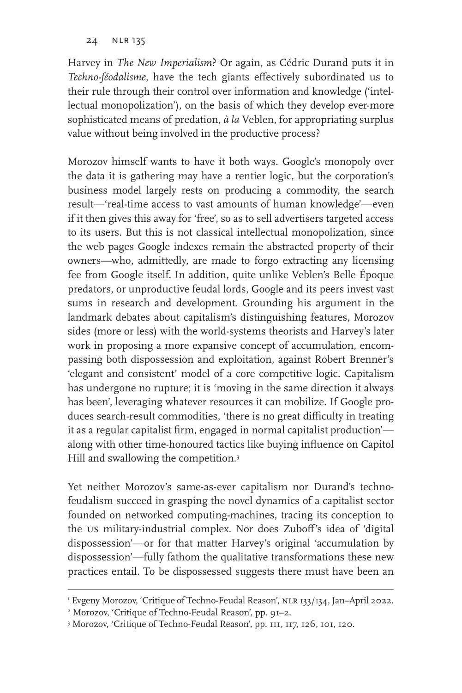Harvey in *The New Imperialism*? Or again, as Cédric Durand puts it in *Techno-féodalisme*, have the tech giants effectively subordinated us to their rule through their control over information and knowledge ('intellectual monopolization'), on the basis of which they develop ever-more sophisticated means of predation, *à la* Veblen, for appropriating surplus value without being involved in the productive process?

Morozov himself wants to have it both ways. Google's monopoly over the data it is gathering may have a rentier logic, but the corporation's business model largely rests on producing a commodity, the search result—'real-time access to vast amounts of human knowledge'—even if it then gives this away for 'free', so as to sell advertisers targeted access to its users. But this is not classical intellectual monopolization, since the web pages Google indexes remain the abstracted property of their owners—who, admittedly, are made to forgo extracting any licensing fee from Google itself. In addition, quite unlike Veblen's Belle Époque predators, or unproductive feudal lords, Google and its peers invest vast sums in research and development. Grounding his argument in the landmark debates about capitalism's distinguishing features, Morozov sides (more or less) with the world-systems theorists and Harvey's later work in proposing a more expansive concept of accumulation, encompassing both dispossession and exploitation, against Robert Brenner's 'elegant and consistent' model of a core competitive logic. Capitalism has undergone no rupture; it is 'moving in the same direction it always has been', leveraging whatever resources it can mobilize. If Google produces search-result commodities, 'there is no great difficulty in treating it as a regular capitalist firm, engaged in normal capitalist production' along with other time-honoured tactics like buying influence on Capitol Hill and swallowing the competition.<sup>3</sup>

Yet neither Morozov's same-as-ever capitalism nor Durand's technofeudalism succeed in grasping the novel dynamics of a capitalist sector founded on networked computing-machines, tracing its conception to the us military-industrial complex. Nor does Zuboff's idea of 'digital dispossession'—or for that matter Harvey's original 'accumulation by dispossession'—fully fathom the qualitative transformations these new practices entail. To be dispossessed suggests there must have been an

I Evgeny Morozov, 'Critique of Techno-Feudal Reason', NLR 133/134, Jan–April 2022.

<sup>2</sup> Morozov, 'Critique of Techno-Feudal Reason', pp. 91–2.

<sup>3</sup> Morozov, 'Critique of Techno-Feudal Reason', pp. 111, 117, 126, 101, 120.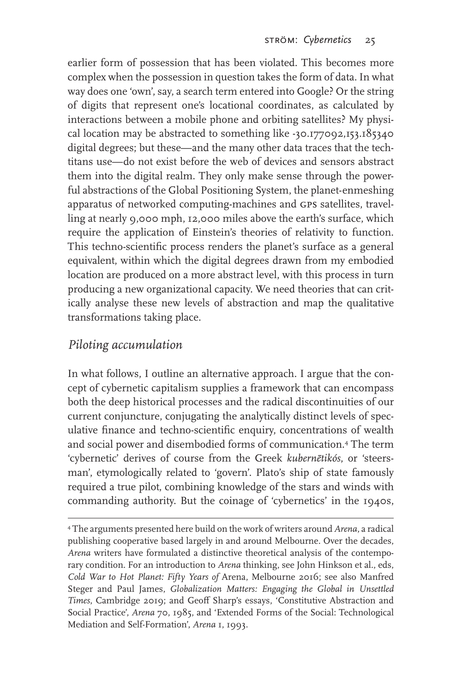earlier form of possession that has been violated. This becomes more complex when the possession in question takes the form of data. In what way does one 'own', say, a search term entered into Google? Or the string of digits that represent one's locational coordinates, as calculated by interactions between a mobile phone and orbiting satellites? My physical location may be abstracted to something like -30.177092,153.185340 digital degrees; but these—and the many other data traces that the techtitans use—do not exist before the web of devices and sensors abstract them into the digital realm. They only make sense through the powerful abstractions of the Global Positioning System, the planet-enmeshing apparatus of networked computing-machines and gps satellites, travelling at nearly 9,000 mph, 12,000 miles above the earth's surface, which require the application of Einstein's theories of relativity to function. This techno-scientific process renders the planet's surface as a general equivalent, within which the digital degrees drawn from my embodied location are produced on a more abstract level, with this process in turn producing a new organizational capacity. We need theories that can critically analyse these new levels of abstraction and map the qualitative transformations taking place.

#### *Piloting accumulation*

In what follows, I outline an alternative approach. I argue that the concept of cybernetic capitalism supplies a framework that can encompass both the deep historical processes and the radical discontinuities of our current conjuncture, conjugating the analytically distinct levels of speculative finance and techno-scientific enquiry, concentrations of wealth and social power and disembodied forms of communication.4 The term 'cybernetic' derives of course from the Greek *kubernētikós*, or 'steersman', etymologically related to 'govern'. Plato's ship of state famously required a true pilot, combining knowledge of the stars and winds with commanding authority. But the coinage of 'cybernetics' in the 1940s,

<sup>4</sup> The arguments presented here build on the work of writers around *Arena*, a radical publishing cooperative based largely in and around Melbourne. Over the decades, *Arena* writers have formulated a distinctive theoretical analysis of the contemporary condition. For an introduction to *Arena* thinking, see John Hinkson et al., eds, *Cold War to Hot Planet: Fifty Years of* Arena, Melbourne 2016; see also Manfred Steger and Paul James, *Globalization Matters: Engaging the Global in Unsettled Times*, Cambridge 2019; and Geoff Sharp's essays, 'Constitutive Abstraction and Social Practice', *Arena* 70, 1985, and 'Extended Forms of the Social: Technological Mediation and Self-Formation', *Arena* 1, 1993.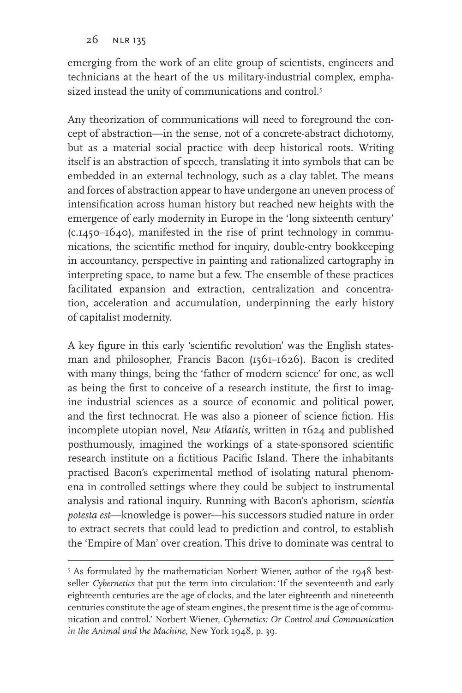emerging from the work of an elite group of scientists, engineers and technicians at the heart of the us military-industrial complex, emphasized instead the unity of communications and control.<sup>5</sup>

Any theorization of communications will need to foreground the concept of abstraction—in the sense, not of a concrete-abstract dichotomy, but as a material social practice with deep historical roots. Writing itself is an abstraction of speech, translating it into symbols that can be embedded in an external technology, such as a clay tablet. The means and forces of abstraction appear to have undergone an uneven process of intensification across human history but reached new heights with the emergence of early modernity in Europe in the 'long sixteenth century' (c.1450–1640), manifested in the rise of print technology in communications, the scientific method for inquiry, double-entry bookkeeping in accountancy, perspective in painting and rationalized cartography in interpreting space, to name but a few. The ensemble of these practices facilitated expansion and extraction, centralization and concentration, acceleration and accumulation, underpinning the early history of capitalist modernity.

A key figure in this early 'scientific revolution' was the English statesman and philosopher, Francis Bacon (1561–1626). Bacon is credited with many things, being the 'father of modern science' for one, as well as being the first to conceive of a research institute, the first to imagine industrial sciences as a source of economic and political power, and the first technocrat. He was also a pioneer of science fiction. His incomplete utopian novel, *New Atlantis*, written in 1624 and published posthumously, imagined the workings of a state-sponsored scientific research institute on a fictitious Pacific Island. There the inhabitants practised Bacon's experimental method of isolating natural phenomena in controlled settings where they could be subject to instrumental analysis and rational inquiry. Running with Bacon's aphorism, *scientia potesta est*—knowledge is power—his successors studied nature in order to extract secrets that could lead to prediction and control, to establish the 'Empire of Man' over creation. This drive to dominate was central to

<sup>5</sup> As formulated by the mathematician Norbert Wiener, author of the 1948 bestseller *Cybernetics* that put the term into circulation: 'If the seventeenth and early eighteenth centuries are the age of clocks, and the later eighteenth and nineteenth centuries constitute the age of steam engines, the present time is the age of communication and control.' Norbert Wiener, *Cybernetics: Or Control and Communication in the Animal and the Machine*, New York 1948, p. 39.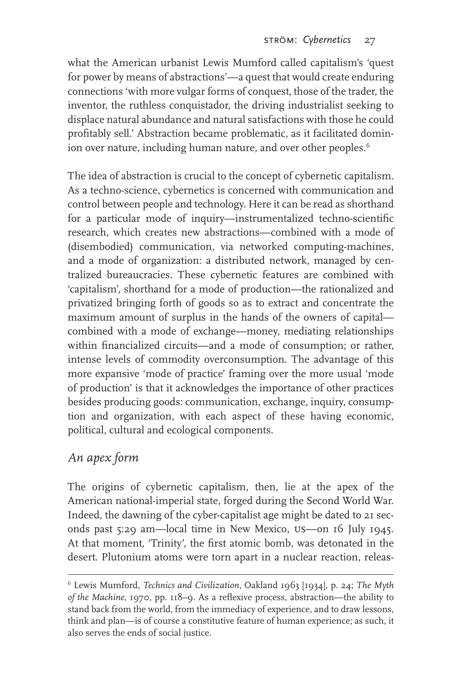what the American urbanist Lewis Mumford called capitalism's 'quest for power by means of abstractions'—a quest that would create enduring connections 'with more vulgar forms of conquest, those of the trader, the inventor, the ruthless conquistador, the driving industrialist seeking to displace natural abundance and natural satisfactions with those he could profitably sell.' Abstraction became problematic, as it facilitated dominion over nature, including human nature, and over other peoples.<sup>6</sup>

The idea of abstraction is crucial to the concept of cybernetic capitalism. As a techno-science, cybernetics is concerned with communication and control between people and technology. Here it can be read as shorthand for a particular mode of inquiry—instrumentalized techno-scientific research, which creates new abstractions—combined with a mode of (disembodied) communication, via networked computing-machines, and a mode of organization: a distributed network, managed by centralized bureaucracies. These cybernetic features are combined with 'capitalism', shorthand for a mode of production—the rationalized and privatized bringing forth of goods so as to extract and concentrate the maximum amount of surplus in the hands of the owners of capital combined with a mode of exchange—money, mediating relationships within financialized circuits—and a mode of consumption; or rather, intense levels of commodity overconsumption. The advantage of this more expansive 'mode of practice' framing over the more usual 'mode of production' is that it acknowledges the importance of other practices besides producing goods: communication, exchange, inquiry, consumption and organization, with each aspect of these having economic, political, cultural and ecological components.

### *An apex form*

The origins of cybernetic capitalism, then, lie at the apex of the American national-imperial state, forged during the Second World War. Indeed, the dawning of the cyber-capitalist age might be dated to 21 seconds past 5:29 am—local time in New Mexico, us—on 16 July 1945. At that moment, 'Trinity', the first atomic bomb, was detonated in the desert. Plutonium atoms were torn apart in a nuclear reaction, releas-

<sup>6</sup> Lewis Mumford, *Technics and Civilization*, Oakland 1963 [1934], p. 24; *The Myth of the Machine*, 1970, pp. 118–9. As a reflexive process, abstraction—the ability to stand back from the world, from the immediacy of experience, and to draw lessons, think and plan—is of course a constitutive feature of human experience; as such, it also serves the ends of social justice.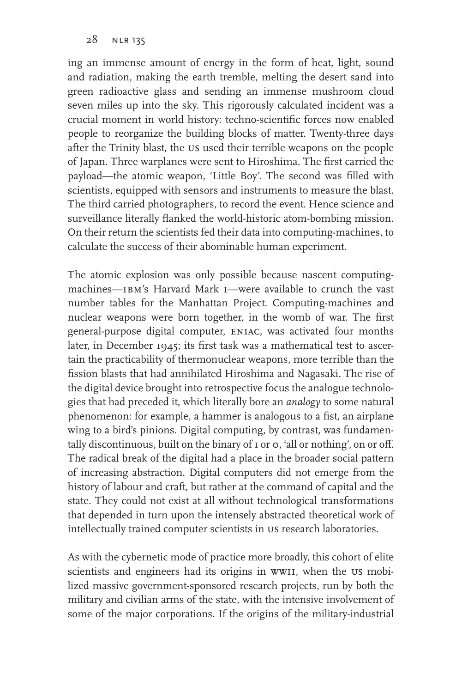ing an immense amount of energy in the form of heat, light, sound and radiation, making the earth tremble, melting the desert sand into green radioactive glass and sending an immense mushroom cloud seven miles up into the sky. This rigorously calculated incident was a crucial moment in world history: techno-scientific forces now enabled people to reorganize the building blocks of matter. Twenty-three days after the Trinity blast, the us used their terrible weapons on the people of Japan. Three warplanes were sent to Hiroshima. The first carried the payload—the atomic weapon, 'Little Boy'. The second was filled with scientists, equipped with sensors and instruments to measure the blast. The third carried photographers, to record the event. Hence science and surveillance literally flanked the world-historic atom-bombing mission. On their return the scientists fed their data into computing-machines, to calculate the success of their abominable human experiment.

The atomic explosion was only possible because nascent computingmachines—ibm's Harvard Mark i—were available to crunch the vast number tables for the Manhattan Project. Computing-machines and nuclear weapons were born together, in the womb of war. The first general-purpose digital computer, eniac, was activated four months later, in December 1945; its first task was a mathematical test to ascertain the practicability of thermonuclear weapons, more terrible than the fission blasts that had annihilated Hiroshima and Nagasaki. The rise of the digital device brought into retrospective focus the analogue technologies that had preceded it, which literally bore an *analogy* to some natural phenomenon: for example, a hammer is analogous to a fist, an airplane wing to a bird's pinions. Digital computing, by contrast, was fundamentally discontinuous, built on the binary of I or  $\circ$ , 'all or nothing', on or off. The radical break of the digital had a place in the broader social pattern of increasing abstraction. Digital computers did not emerge from the history of labour and craft, but rather at the command of capital and the state. They could not exist at all without technological transformations that depended in turn upon the intensely abstracted theoretical work of intellectually trained computer scientists in us research laboratories.

As with the cybernetic mode of practice more broadly, this cohort of elite scientists and engineers had its origins in ww11, when the us mobilized massive government-sponsored research projects, run by both the military and civilian arms of the state, with the intensive involvement of some of the major corporations. If the origins of the military-industrial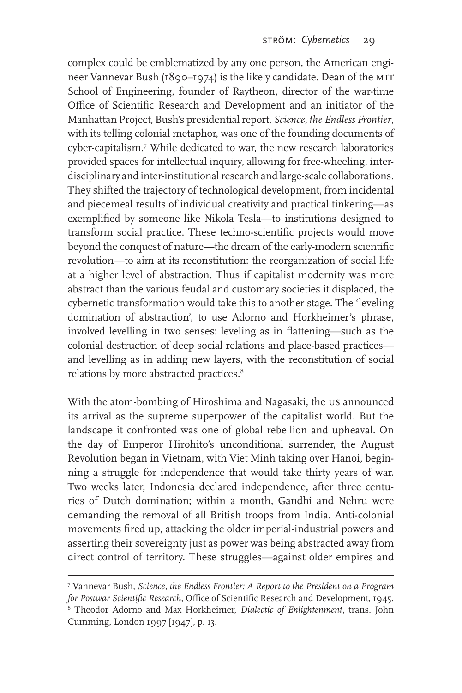complex could be emblematized by any one person, the American engineer Vannevar Bush (1890–1974) is the likely candidate. Dean of the MIT School of Engineering, founder of Raytheon, director of the war-time Office of Scientific Research and Development and an initiator of the Manhattan Project, Bush's presidential report, *Science, the Endless Frontier*, with its telling colonial metaphor, was one of the founding documents of cyber-capitalism.7 While dedicated to war, the new research laboratories provided spaces for intellectual inquiry, allowing for free-wheeling, interdisciplinary and inter-institutional research and large-scale collaborations. They shifted the trajectory of technological development, from incidental and piecemeal results of individual creativity and practical tinkering—as exemplified by someone like Nikola Tesla—to institutions designed to transform social practice. These techno-scientific projects would move beyond the conquest of nature—the dream of the early-modern scientific revolution—to aim at its reconstitution: the reorganization of social life at a higher level of abstraction. Thus if capitalist modernity was more abstract than the various feudal and customary societies it displaced, the cybernetic transformation would take this to another stage. The 'leveling domination of abstraction', to use Adorno and Horkheimer's phrase, involved levelling in two senses: leveling as in flattening—such as the colonial destruction of deep social relations and place-based practices and levelling as in adding new layers, with the reconstitution of social relations by more abstracted practices.<sup>8</sup>

With the atom-bombing of Hiroshima and Nagasaki, the us announced its arrival as the supreme superpower of the capitalist world. But the landscape it confronted was one of global rebellion and upheaval. On the day of Emperor Hirohito's unconditional surrender, the August Revolution began in Vietnam, with Viet Minh taking over Hanoi, beginning a struggle for independence that would take thirty years of war. Two weeks later, Indonesia declared independence, after three centuries of Dutch domination; within a month, Gandhi and Nehru were demanding the removal of all British troops from India. Anti-colonial movements fired up, attacking the older imperial-industrial powers and asserting their sovereignty just as power was being abstracted away from direct control of territory. These struggles—against older empires and

<sup>7</sup> Vannevar Bush, *Science, the Endless Frontier: A Report to the President on a Program for Postwar Scientific Research*, Office of Scientific Research and Development, 1945.

<sup>8</sup> Theodor Adorno and Max Horkheimer, *Dialectic of Enlightenment*, trans. John Cumming, London 1997 [1947], p. 13.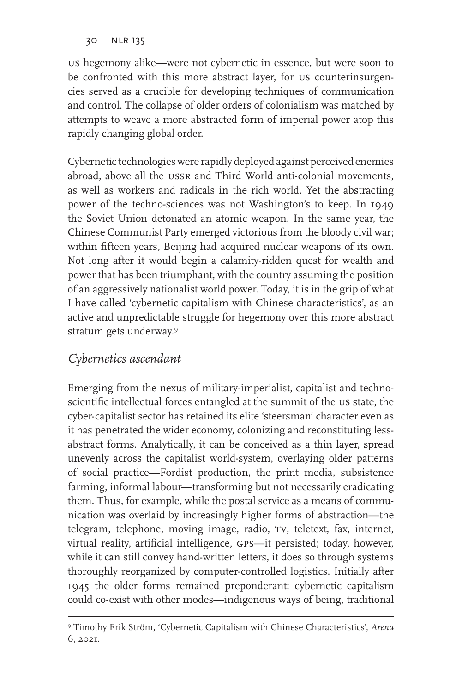us hegemony alike—were not cybernetic in essence, but were soon to be confronted with this more abstract layer, for us counterinsurgencies served as a crucible for developing techniques of communication and control. The collapse of older orders of colonialism was matched by attempts to weave a more abstracted form of imperial power atop this rapidly changing global order.

Cybernetic technologies were rapidly deployed against perceived enemies abroad, above all the ussr and Third World anti-colonial movements, as well as workers and radicals in the rich world. Yet the abstracting power of the techno-sciences was not Washington's to keep. In 1949 the Soviet Union detonated an atomic weapon. In the same year, the Chinese Communist Party emerged victorious from the bloody civil war; within fifteen years, Beijing had acquired nuclear weapons of its own. Not long after it would begin a calamity-ridden quest for wealth and power that has been triumphant, with the country assuming the position of an aggressively nationalist world power. Today, it is in the grip of what I have called 'cybernetic capitalism with Chinese characteristics', as an active and unpredictable struggle for hegemony over this more abstract stratum gets underway.9

### *Cybernetics ascendant*

Emerging from the nexus of military-imperialist, capitalist and technoscientific intellectual forces entangled at the summit of the us state, the cyber-capitalist sector has retained its elite 'steersman' character even as it has penetrated the wider economy, colonizing and reconstituting lessabstract forms. Analytically, it can be conceived as a thin layer, spread unevenly across the capitalist world-system, overlaying older patterns of social practice—Fordist production, the print media, subsistence farming, informal labour—transforming but not necessarily eradicating them. Thus, for example, while the postal service as a means of communication was overlaid by increasingly higher forms of abstraction—the telegram, telephone, moving image, radio, TV, teletext, fax, internet, virtual reality, artificial intelligence, gps—it persisted; today, however, while it can still convey hand-written letters, it does so through systems thoroughly reorganized by computer-controlled logistics. Initially after 1945 the older forms remained preponderant; cybernetic capitalism could co-exist with other modes—indigenous ways of being, traditional

<sup>9</sup> Timothy Erik Ström, 'Cybernetic Capitalism with Chinese Characteristics', *Arena* 6, 2021.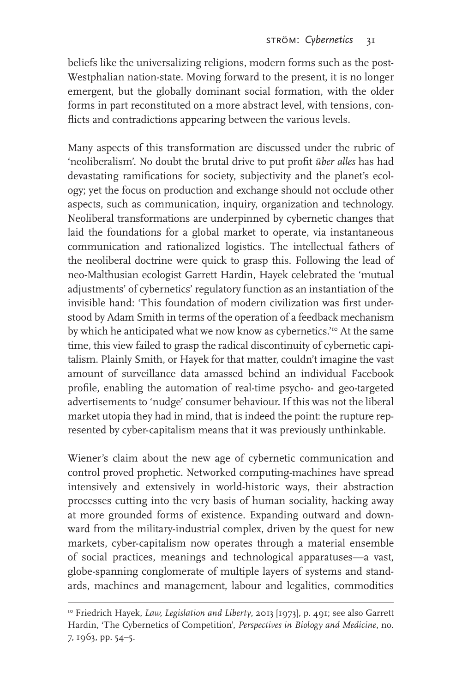beliefs like the universalizing religions, modern forms such as the post-Westphalian nation-state. Moving forward to the present, it is no longer emergent, but the globally dominant social formation, with the older forms in part reconstituted on a more abstract level, with tensions, conflicts and contradictions appearing between the various levels.

Many aspects of this transformation are discussed under the rubric of 'neoliberalism'. No doubt the brutal drive to put profit *über alles* has had devastating ramifications for society, subjectivity and the planet's ecology; yet the focus on production and exchange should not occlude other aspects, such as communication, inquiry, organization and technology. Neoliberal transformations are underpinned by cybernetic changes that laid the foundations for a global market to operate, via instantaneous communication and rationalized logistics. The intellectual fathers of the neoliberal doctrine were quick to grasp this. Following the lead of neo-Malthusian ecologist Garrett Hardin, Hayek celebrated the 'mutual adjustments' of cybernetics' regulatory function as an instantiation of the invisible hand: 'This foundation of modern civilization was first understood by Adam Smith in terms of the operation of a feedback mechanism by which he anticipated what we now know as cybernetics.<sup>'10</sup> At the same time, this view failed to grasp the radical discontinuity of cybernetic capitalism. Plainly Smith, or Hayek for that matter, couldn't imagine the vast amount of surveillance data amassed behind an individual Facebook profile, enabling the automation of real-time psycho- and geo-targeted advertisements to 'nudge' consumer behaviour. If this was not the liberal market utopia they had in mind, that is indeed the point: the rupture represented by cyber-capitalism means that it was previously unthinkable.

Wiener's claim about the new age of cybernetic communication and control proved prophetic. Networked computing-machines have spread intensively and extensively in world-historic ways, their abstraction processes cutting into the very basis of human sociality, hacking away at more grounded forms of existence. Expanding outward and downward from the military-industrial complex, driven by the quest for new markets, cyber-capitalism now operates through a material ensemble of social practices, meanings and technological apparatuses—a vast, globe-spanning conglomerate of multiple layers of systems and standards, machines and management, labour and legalities, commodities

<sup>10</sup> Friedrich Hayek, *Law, Legislation and Liberty*, 2013 [1973], p. 491; see also Garrett Hardin, 'The Cybernetics of Competition', *Perspectives in Biology and Medicine*, no. 7, 1963, pp. 54–5.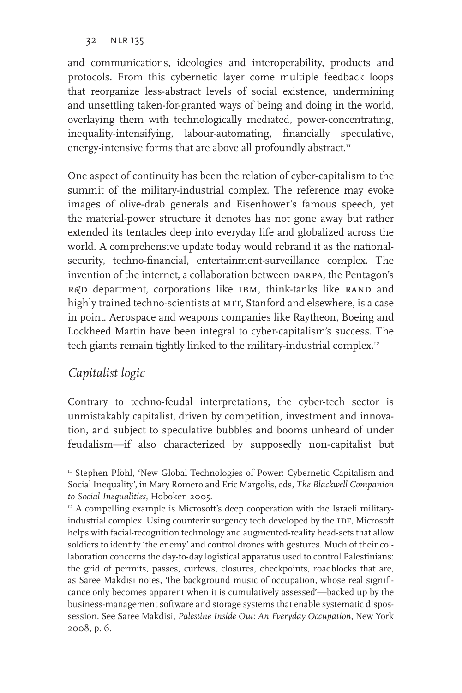and communications, ideologies and interoperability, products and protocols. From this cybernetic layer come multiple feedback loops that reorganize less-abstract levels of social existence, undermining and unsettling taken-for-granted ways of being and doing in the world, overlaying them with technologically mediated, power-concentrating, inequality-intensifying, labour-automating, financially speculative, energy-intensive forms that are above all profoundly abstract.<sup>11</sup>

One aspect of continuity has been the relation of cyber-capitalism to the summit of the military-industrial complex. The reference may evoke images of olive-drab generals and Eisenhower's famous speech, yet the material-power structure it denotes has not gone away but rather extended its tentacles deep into everyday life and globalized across the world. A comprehensive update today would rebrand it as the nationalsecurity, techno-financial, entertainment-surveillance complex. The invention of the internet, a collaboration between DARPA, the Pentagon's R&D department, corporations like IBM, think-tanks like RAND and highly trained techno-scientists at MIT, Stanford and elsewhere, is a case in point. Aerospace and weapons companies like Raytheon, Boeing and Lockheed Martin have been integral to cyber-capitalism's success. The tech giants remain tightly linked to the military-industrial complex.12

### *Capitalist logic*

Contrary to techno-feudal interpretations, the cyber-tech sector is unmistakably capitalist, driven by competition, investment and innovation, and subject to speculative bubbles and booms unheard of under feudalism—if also characterized by supposedly non-capitalist but

<sup>&</sup>lt;sup>11</sup> Stephen Pfohl, 'New Global Technologies of Power: Cybernetic Capitalism and Social Inequality', in Mary Romero and Eric Margolis, eds, *The Blackwell Companion to Social Inequalities*, Hoboken 2005.

<sup>&</sup>lt;sup>12</sup> A compelling example is Microsoft's deep cooperation with the Israeli militaryindustrial complex. Using counterinsurgency tech developed by the IDF, Microsoft helps with facial-recognition technology and augmented-reality head-sets that allow soldiers to identify 'the enemy' and control drones with gestures. Much of their collaboration concerns the day-to-day logistical apparatus used to control Palestinians: the grid of permits, passes, curfews, closures, checkpoints, roadblocks that are, as Saree Makdisi notes, 'the background music of occupation, whose real significance only becomes apparent when it is cumulatively assessed'—backed up by the business-management software and storage systems that enable systematic dispossession. See Saree Makdisi, *Palestine Inside Out: An Everyday Occupation*, New York 2008, p. 6.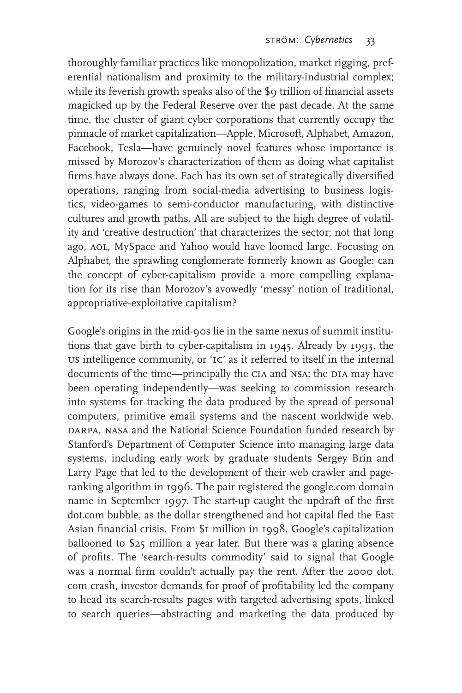thoroughly familiar practices like monopolization, market rigging, preferential nationalism and proximity to the military-industrial complex; while its feverish growth speaks also of the \$9 trillion of financial assets magicked up by the Federal Reserve over the past decade. At the same time, the cluster of giant cyber corporations that currently occupy the pinnacle of market capitalization—Apple, Microsoft, Alphabet, Amazon, Facebook, Tesla—have genuinely novel features whose importance is missed by Morozov's characterization of them as doing what capitalist firms have always done. Each has its own set of strategically diversified operations, ranging from social-media advertising to business logistics, video-games to semi-conductor manufacturing, with distinctive cultures and growth paths. All are subject to the high degree of volatility and 'creative destruction' that characterizes the sector; not that long ago, AOL, MySpace and Yahoo would have loomed large. Focusing on Alphabet, the sprawling conglomerate formerly known as Google: can the concept of cyber-capitalism provide a more compelling explanation for its rise than Morozov's avowedly 'messy' notion of traditional, appropriative-exploitative capitalism?

Google's origins in the mid-90s lie in the same nexus of summit institutions that gave birth to cyber-capitalism in 1945. Already by 1993, the us intelligence community, or 'ic' as it referred to itself in the internal documents of the time—principally the CIA and NSA; the DIA may have been operating independently—was seeking to commission research into systems for tracking the data produced by the spread of personal computers, primitive email systems and the nascent worldwide web. DARPA, NASA and the National Science Foundation funded research by Stanford's Department of Computer Science into managing large data systems, including early work by graduate students Sergey Brin and Larry Page that led to the development of their web crawler and pageranking algorithm in 1996. The pair registered the google.com domain name in September 1997. The start-up caught the updraft of the first dot.com bubble, as the dollar strengthened and hot capital fled the East Asian financial crisis. From \$1 million in 1998, Google's capitalization ballooned to \$25 million a year later. But there was a glaring absence of profits. The 'search-results commodity' said to signal that Google was a normal firm couldn't actually pay the rent. After the 2000 dot. com crash, investor demands for proof of profitability led the company to head its search-results pages with targeted advertising spots, linked to search queries—abstracting and marketing the data produced by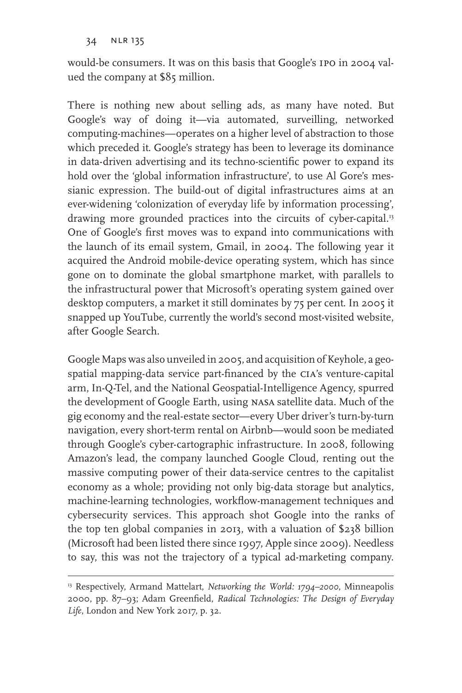would-be consumers. It was on this basis that Google's ipo in 2004 valued the company at \$85 million.

There is nothing new about selling ads, as many have noted. But Google's way of doing it—via automated, surveilling, networked computing-machines—operates on a higher level of abstraction to those which preceded it. Google's strategy has been to leverage its dominance in data-driven advertising and its techno-scientific power to expand its hold over the 'global information infrastructure', to use Al Gore's messianic expression. The build-out of digital infrastructures aims at an ever-widening 'colonization of everyday life by information processing', drawing more grounded practices into the circuits of cyber-capital.<sup>13</sup> One of Google's first moves was to expand into communications with the launch of its email system, Gmail, in 2004. The following year it acquired the Android mobile-device operating system, which has since gone on to dominate the global smartphone market, with parallels to the infrastructural power that Microsoft's operating system gained over desktop computers, a market it still dominates by 75 per cent. In 2005 it snapped up YouTube, currently the world's second most-visited website, after Google Search.

Google Maps was also unveiled in 2005, and acquisition of Keyhole, a geospatial mapping-data service part-financed by the cia's venture-capital arm, In-Q-Tel, and the National Geospatial-Intelligence Agency, spurred the development of Google Earth, using nasa satellite data. Much of the gig economy and the real-estate sector—every Uber driver's turn-by-turn navigation, every short-term rental on Airbnb—would soon be mediated through Google's cyber-cartographic infrastructure. In 2008, following Amazon's lead, the company launched Google Cloud, renting out the massive computing power of their data-service centres to the capitalist economy as a whole; providing not only big-data storage but analytics, machine-learning technologies, workflow-management techniques and cybersecurity services. This approach shot Google into the ranks of the top ten global companies in 2013, with a valuation of \$238 billion (Microsoft had been listed there since 1997, Apple since 2009). Needless to say, this was not the trajectory of a typical ad-marketing company.

<sup>&</sup>lt;sup>13</sup> Respectively, Armand Mattelart, *Networking the World: 1794–2000*, Minneapolis 2000, pp. 87–93; Adam Greenfield, *Radical Technologies: The Design of Everyday Life*, London and New York 2017, p. 32.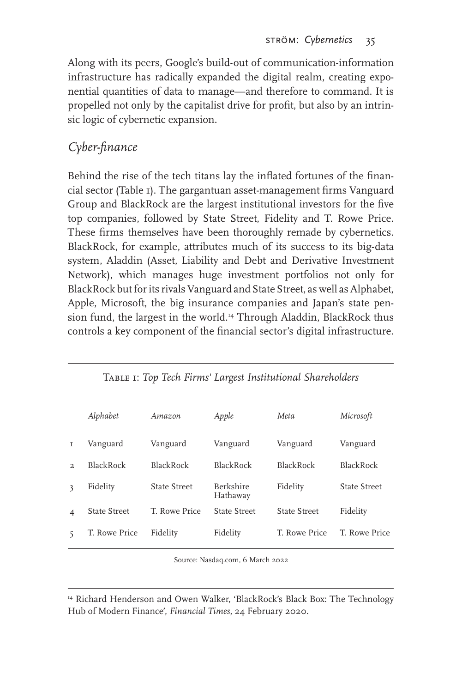Along with its peers, Google's build-out of communication-information infrastructure has radically expanded the digital realm, creating exponential quantities of data to manage—and therefore to command. It is propelled not only by the capitalist drive for profit, but also by an intrinsic logic of cybernetic expansion.

## *Cyber-finance*

Behind the rise of the tech titans lay the inflated fortunes of the financial sector (Table 1). The gargantuan asset-management firms Vanguard Group and BlackRock are the largest institutional investors for the five top companies, followed by State Street, Fidelity and T. Rowe Price. These firms themselves have been thoroughly remade by cybernetics. BlackRock, for example, attributes much of its success to its big-data system, Aladdin (Asset, Liability and Debt and Derivative Investment Network), which manages huge investment portfolios not only for BlackRock but for its rivals Vanguard and State Street, as well as Alphabet, Apple, Microsoft, the big insurance companies and Japan's state pension fund, the largest in the world.<sup>14</sup> Through Aladdin, BlackRock thus controls a key component of the financial sector's digital infrastructure.

|                | Alphabet            | Amazon              | Apple                 | Meta             | Microsoft           |
|----------------|---------------------|---------------------|-----------------------|------------------|---------------------|
| T              | Vanguard            | Vanguard            | Vanguard              | Vanguard         | Vanguard            |
| $\mathcal{D}$  | <b>BlackRock</b>    | <b>BlackRock</b>    | <b>BlackRock</b>      | <b>BlackRock</b> | <b>BlackRock</b>    |
| 3              | Fidelity            | <b>State Street</b> | Berkshire<br>Hathaway | Fidelity         | <b>State Street</b> |
| $\overline{4}$ | <b>State Street</b> | T. Rowe Price       | State Street          | State Street     | Fidelity            |
| 5              | T. Rowe Price       | Fidelity            | Fidelity              | T. Rowe Price    | T. Rowe Price       |

|  |  |  |  |  | TABLE I: Top Tech Firms' Largest Institutional Shareholders |  |
|--|--|--|--|--|-------------------------------------------------------------|--|
|--|--|--|--|--|-------------------------------------------------------------|--|

Source: Nasdaq.com, 6 March 2022

<sup>14</sup> Richard Henderson and Owen Walker, 'BlackRock's Black Box: The Technology Hub of Modern Finance', *Financial Times*, 24 February 2020.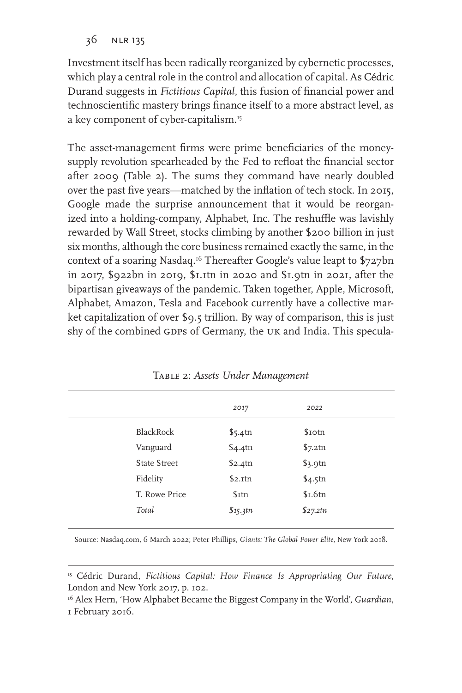Investment itself has been radically reorganized by cybernetic processes, which play a central role in the control and allocation of capital. As Cédric Durand suggests in *Fictitious Capital*, this fusion of financial power and technoscientific mastery brings finance itself to a more abstract level, as a key component of cyber-capitalism.<sup>15</sup>

The asset-management firms were prime beneficiaries of the moneysupply revolution spearheaded by the Fed to refloat the financial sector after 2009 (Table 2). The sums they command have nearly doubled over the past five years—matched by the inflation of tech stock. In 2015, Google made the surprise announcement that it would be reorganized into a holding-company, Alphabet, Inc. The reshuffle was lavishly rewarded by Wall Street, stocks climbing by another \$200 billion in just six months, although the core business remained exactly the same, in the context of a soaring Nasdaq.16 Thereafter Google's value leapt to \$727bn in 2017, \$922bn in 2019, \$1.1tn in 2020 and \$1.9tn in 2021, after the bipartisan giveaways of the pandemic. Taken together, Apple, Microsoft, Alphabet, Amazon, Tesla and Facebook currently have a collective market capitalization of over \$9.5 trillion. By way of comparison, this is just shy of the combined GDPs of Germany, the UK and India. This specula-

| TABLE 2: Assets Under Management |                     |                    |  |  |  |
|----------------------------------|---------------------|--------------------|--|--|--|
|                                  | 2017                | 2022               |  |  |  |
| BlackRock                        | \$5.4 <sup>th</sup> | \$10tn             |  |  |  |
| Vanguard                         | \$4.4 <sup>th</sup> | \$7.2tn            |  |  |  |
| State Street                     | \$2.4 <sup>th</sup> | $\frac{1}{3}$ .9tn |  |  |  |
| Fidelity                         | \$2.1tn             | \$4.5tn            |  |  |  |
| T. Rowe Price                    | $$$ Itn             | $sI$ .6tn          |  |  |  |
| Total                            | \$15.3tn            | \$27.2tn           |  |  |  |

Source: Nasdaq.com, 6 March 2022; Peter Phillips, *Giants: The Global Power Elite*, New York 2018.

<sup>&</sup>lt;sup>15</sup> Cédric Durand, *Fictitious Capital: How Finance Is Appropriating Our Future*, London and New York 2017, p. 102.

<sup>16</sup> Alex Hern, 'How Alphabet Became the Biggest Company in the World', *Guardian*, 1 February 2016.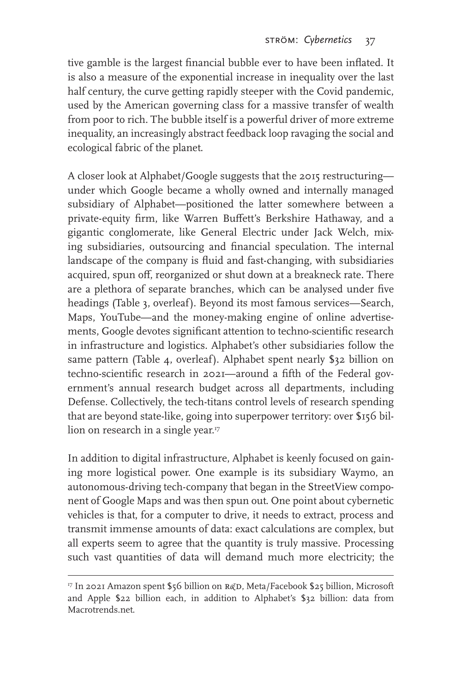tive gamble is the largest financial bubble ever to have been inflated. It is also a measure of the exponential increase in inequality over the last half century, the curve getting rapidly steeper with the Covid pandemic, used by the American governing class for a massive transfer of wealth from poor to rich. The bubble itself is a powerful driver of more extreme inequality, an increasingly abstract feedback loop ravaging the social and ecological fabric of the planet.

A closer look at Alphabet/Google suggests that the 2015 restructuring under which Google became a wholly owned and internally managed subsidiary of Alphabet—positioned the latter somewhere between a private-equity firm, like Warren Buffett's Berkshire Hathaway, and a gigantic conglomerate, like General Electric under Jack Welch, mixing subsidiaries, outsourcing and financial speculation. The internal landscape of the company is fluid and fast-changing, with subsidiaries acquired, spun off, reorganized or shut down at a breakneck rate. There are a plethora of separate branches, which can be analysed under five headings (Table 3, overleaf). Beyond its most famous services—Search, Maps, YouTube—and the money-making engine of online advertisements, Google devotes significant attention to techno-scientific research in infrastructure and logistics. Alphabet's other subsidiaries follow the same pattern (Table 4, overleaf). Alphabet spent nearly \$32 billion on techno-scientific research in 2021—around a fifth of the Federal government's annual research budget across all departments, including Defense. Collectively, the tech-titans control levels of research spending that are beyond state-like, going into superpower territory: over \$156 billion on research in a single year.<sup>17</sup>

In addition to digital infrastructure, Alphabet is keenly focused on gaining more logistical power. One example is its subsidiary Waymo, an autonomous-driving tech-company that began in the StreetView component of Google Maps and was then spun out. One point about cybernetic vehicles is that, for a computer to drive, it needs to extract, process and transmit immense amounts of data: exact calculations are complex, but all experts seem to agree that the quantity is truly massive. Processing such vast quantities of data will demand much more electricity; the

<sup>&</sup>lt;sup>17</sup> In 2021 Amazon spent \$56 billion on R&D, Meta/Facebook \$25 billion, Microsoft and Apple \$22 billion each, in addition to Alphabet's \$32 billion: data from Macrotrends.net.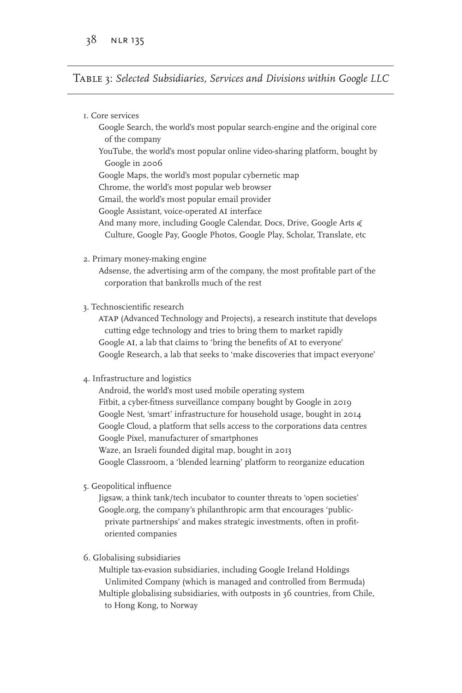Table 3: *Selected Subsidiaries, Services and Divisions within Google LLC*

| I. Core services                                                            |
|-----------------------------------------------------------------------------|
| Google Search, the world's most popular search-engine and the original core |
| of the company                                                              |
| YouTube, the world's most popular online video-sharing platform, bought by  |
| Google in 2006                                                              |
| Google Maps, the world's most popular cybernetic map                        |
| Chrome, the world's most popular web browser                                |
| Gmail, the world's most popular email provider                              |
| Google Assistant, voice-operated AI interface                               |
| And many more, including Google Calendar, Docs, Drive, Google Arts &        |
| Culture, Google Pay, Google Photos, Google Play, Scholar, Translate, etc    |

2. Primary money-making engine

Adsense, the advertising arm of the company, the most profitable part of the corporation that bankrolls much of the rest

3. Technoscientific research

atap (Advanced Technology and Projects), a research institute that develops cutting edge technology and tries to bring them to market rapidly Google AI, a lab that claims to 'bring the benefits of AI to everyone' Google Research, a lab that seeks to 'make discoveries that impact everyone'

#### 4. Infrastructure and logistics

Android, the world's most used mobile operating system Fitbit, a cyber-fitness surveillance company bought by Google in 2019 Google Nest, 'smart' infrastructure for household usage, bought in 2014 Google Cloud, a platform that sells access to the corporations data centres Google Pixel, manufacturer of smartphones Waze, an Israeli founded digital map, bought in 2013 Google Classroom, a 'blended learning' platform to reorganize education

5. Geopolitical influence

Jigsaw, a think tank/tech incubator to counter threats to 'open societies' Google.org, the company's philanthropic arm that encourages 'publicprivate partnerships' and makes strategic investments, often in profitoriented companies

#### 6. Globalising subsidiaries

Multiple tax-evasion subsidiaries, including Google Ireland Holdings Unlimited Company (which is managed and controlled from Bermuda) Multiple globalising subsidiaries, with outposts in 36 countries, from Chile, to Hong Kong, to Norway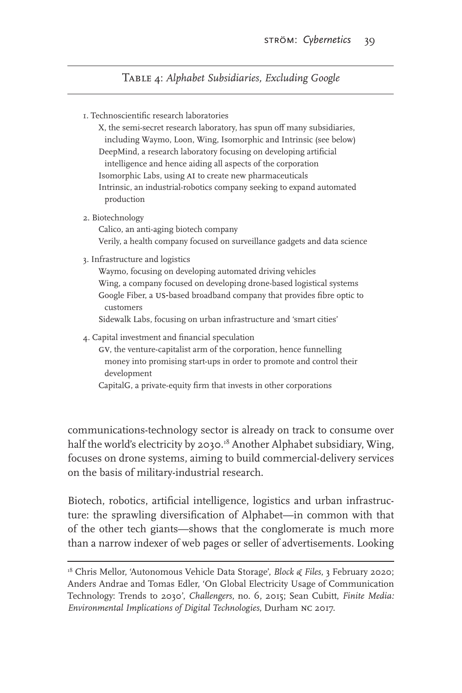Table 4: *Alphabet Subsidiaries, Excluding Google*

1. Technoscientific research laboratories

X, the semi-secret research laboratory, has spun off many subsidiaries, including Waymo, Loon, Wing, Isomorphic and Intrinsic (see below) DeepMind, a research laboratory focusing on developing artificial intelligence and hence aiding all aspects of the corporation Isomorphic Labs, using AI to create new pharmaceuticals Intrinsic, an industrial-robotics company seeking to expand automated production

#### 2. Biotechnology

Calico, an anti-aging biotech company Verily, a health company focused on surveillance gadgets and data science

3. Infrastructure and logistics

Waymo, focusing on developing automated driving vehicles Wing, a company focused on developing drone-based logistical systems Google Fiber, a us-based broadband company that provides fibre optic to customers

Sidewalk Labs, focusing on urban infrastructure and 'smart cities'

- 4. Capital investment and financial speculation
	- GV, the venture-capitalist arm of the corporation, hence funnelling money into promising start-ups in order to promote and control their development

CapitalG, a private-equity firm that invests in other corporations

communications-technology sector is already on track to consume over half the world's electricity by 2030.<sup>18</sup> Another Alphabet subsidiary, Wing, focuses on drone systems, aiming to build commercial-delivery services on the basis of military-industrial research.

Biotech, robotics, artificial intelligence, logistics and urban infrastructure: the sprawling diversification of Alphabet—in common with that of the other tech giants—shows that the conglomerate is much more than a narrow indexer of web pages or seller of advertisements. Looking

<sup>&</sup>lt;sup>18</sup> Chris Mellor, 'Autonomous Vehicle Data Storage', *Block & Files*, 3 February 2020; Anders Andrae and Tomas Edler, 'On Global Electricity Usage of Communication Technology: Trends to 2030', *Challengers*, no. 6, 2015; Sean Cubitt, *Finite Media: Environmental Implications of Digital Technologies*, Durham nc 2017.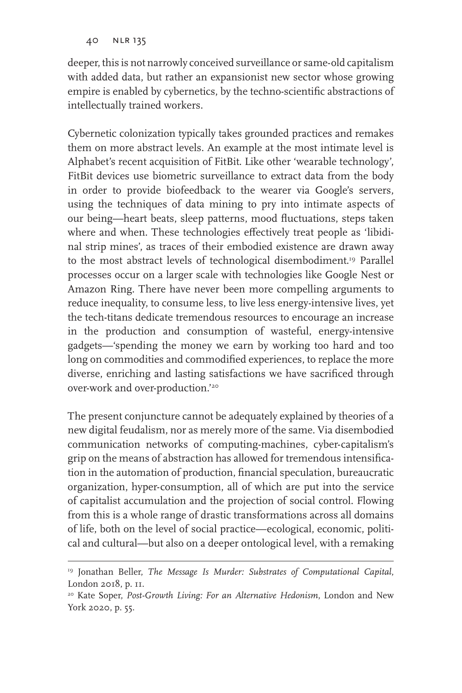deeper, this is not narrowly conceived surveillance or same-old capitalism with added data, but rather an expansionist new sector whose growing empire is enabled by cybernetics, by the techno-scientific abstractions of intellectually trained workers.

Cybernetic colonization typically takes grounded practices and remakes them on more abstract levels. An example at the most intimate level is Alphabet's recent acquisition of FitBit. Like other 'wearable technology', FitBit devices use biometric surveillance to extract data from the body in order to provide biofeedback to the wearer via Google's servers, using the techniques of data mining to pry into intimate aspects of our being—heart beats, sleep patterns, mood fluctuations, steps taken where and when. These technologies effectively treat people as 'libidinal strip mines', as traces of their embodied existence are drawn away to the most abstract levels of technological disembodiment.<sup>19</sup> Parallel processes occur on a larger scale with technologies like Google Nest or Amazon Ring. There have never been more compelling arguments to reduce inequality, to consume less, to live less energy-intensive lives, yet the tech-titans dedicate tremendous resources to encourage an increase in the production and consumption of wasteful, energy-intensive gadgets—'spending the money we earn by working too hard and too long on commodities and commodified experiences, to replace the more diverse, enriching and lasting satisfactions we have sacrificed through over-work and over-production.'20

The present conjuncture cannot be adequately explained by theories of a new digital feudalism, nor as merely more of the same. Via disembodied communication networks of computing-machines, cyber-capitalism's grip on the means of abstraction has allowed for tremendous intensification in the automation of production, financial speculation, bureaucratic organization, hyper-consumption, all of which are put into the service of capitalist accumulation and the projection of social control. Flowing from this is a whole range of drastic transformations across all domains of life, both on the level of social practice—ecological, economic, political and cultural—but also on a deeper ontological level, with a remaking

<sup>19</sup> Jonathan Beller, *The Message Is Murder: Substrates of Computational Capital*, London 2018, p. 11.

<sup>20</sup> Kate Soper, *Post-Growth Living: For an Alternative Hedonism*, London and New York 2020, p. 55.